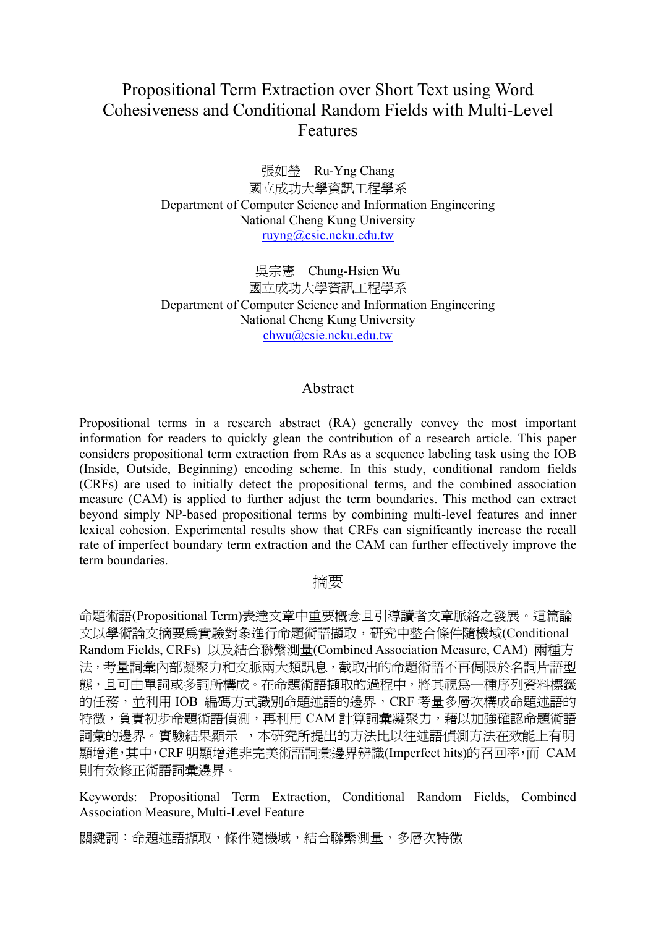# Propositional Term Extraction over Short Text using Word Cohesiveness and Conditional Random Fields with Multi-Level Features

張如瑩 Ru-Yng Chang 國立成功大學資訊工程學系 Department of Computer Science and Information Engineering National Cheng Kung University ruyng@csie.ncku.edu.tw

吳宗憲 Chung-Hsien Wu 國立成功大學資訊工程學系 Department of Computer Science and Information Engineering National Cheng Kung University chwu@csie.ncku.edu.tw

## Abstract

Propositional terms in a research abstract (RA) generally convey the most important information for readers to quickly glean the contribution of a research article. This paper considers propositional term extraction from RAs as a sequence labeling task using the IOB (Inside, Outside, Beginning) encoding scheme. In this study, conditional random fields (CRFs) are used to initially detect the propositional terms, and the combined association measure (CAM) is applied to further adjust the term boundaries. This method can extract beyond simply NP-based propositional terms by combining multi-level features and inner lexical cohesion. Experimental results show that CRFs can significantly increase the recall rate of imperfect boundary term extraction and the CAM can further effectively improve the term boundaries.

# 摘要

命題術語(Propositional Term)表達文章中重要概念且引導讀者文章脈絡之發展。這篇論 文以學術論文摘要為實驗對象進行命題術語擷取,研究中整合條件隨機域(Conditional Random Fields, CRFs) 以及結合聯繫測量(Combined Association Measure, CAM) 兩種方 法,考量詞彙內部凝聚力和文脈兩大類訊息,截取出的命題術語不再侷限於名詞片語型 態,且可由單詞或多詞所構成。在命題術語擷取的過程中,將其視為一種序列資料標籤 的任務,並利用 IOB 編碼方式識別命題述語的邊界, CRF 考量多層次構成命題述語的 特徵,負責初步命題術語偵測,再利用 CAM 計算詞彙凝聚力,藉以加強確認命題術語 詞彙的邊界。實驗結果顯示 ,本研究所提出的方法比以往述語偵測方法在效能上有明 顯增進,其中,CRF 明顯增進非完美術語詞彙邊界辨識(Imperfect hits)的召回率,而 CAM 則有效修正術語詞彙邊界。

Keywords: Propositional Term Extraction, Conditional Random Fields, Combined Association Measure, Multi-Level Feature

關鍵詞:命題述語擷取,條件隨機域,結合聯繫測量,多層次特徵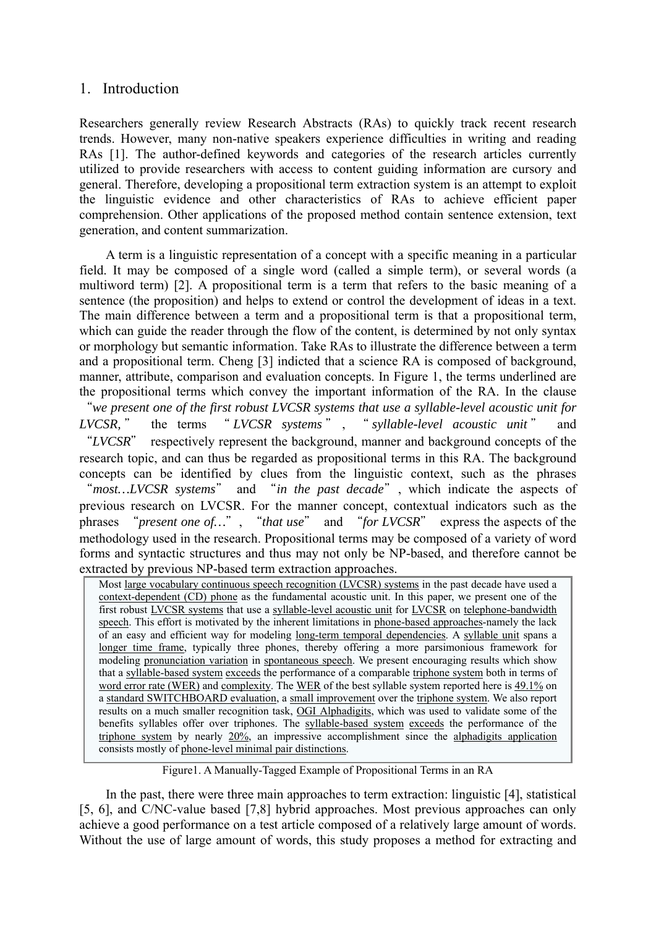## 1. Introduction

Researchers generally review Research Abstracts (RAs) to quickly track recent research trends. However, many non-native speakers experience difficulties in writing and reading RAs [1]. The author-defined keywords and categories of the research articles currently utilized to provide researchers with access to content guiding information are cursory and general. Therefore, developing a propositional term extraction system is an attempt to exploit the linguistic evidence and other characteristics of RAs to achieve efficient paper comprehension. Other applications of the proposed method contain sentence extension, text generation, and content summarization.

A term is a linguistic representation of a concept with a specific meaning in a particular field. It may be composed of a single word (called a simple term), or several words (a multiword term) [2]. A propositional term is a term that refers to the basic meaning of a sentence (the proposition) and helps to extend or control the development of ideas in a text. The main difference between a term and a propositional term is that a propositional term, which can guide the reader through the flow of the content, is determined by not only syntax or morphology but semantic information. Take RAs to illustrate the difference between a term and a propositional term. Cheng [3] indicted that a science RA is composed of background, manner, attribute, comparison and evaluation concepts. In Figure 1, the terms underlined are the propositional terms which convey the important information of the RA. In the clause "*we present one of the first robust LVCSR systems that use a syllable-level acoustic unit for LVCSR,* " the terms " *LVCSR systems* " , " *syllable-level acoustic unit* " and "*LVCSR*" respectively represent the background, manner and background concepts of the research topic, and can thus be regarded as propositional terms in this RA. The background concepts can be identified by clues from the linguistic context, such as the phrases "*most…LVCSR systems*" and "*in the past decade*", which indicate the aspects of previous research on LVCSR. For the manner concept, contextual indicators such as the phrases "*present one of…*", "*that use*" and "*for LVCSR*" express the aspects of the methodology used in the research. Propositional terms may be composed of a variety of word forms and syntactic structures and thus may not only be NP-based, and therefore cannot be extracted by previous NP-based term extraction approaches.

Most large vocabulary continuous speech recognition (LVCSR) systems in the past decade have used a context-dependent (CD) phone as the fundamental acoustic unit. In this paper, we present one of the first robust LVCSR systems that use a syllable-level acoustic unit for LVCSR on telephone-bandwidth speech. This effort is motivated by the inherent limitations in phone-based approaches-namely the lack of an easy and efficient way for modeling long-term temporal dependencies. A syllable unit spans a longer time frame, typically three phones, thereby offering a more parsimonious framework for modeling pronunciation variation in spontaneous speech. We present encouraging results which show that a syllable-based system exceeds the performance of a comparable triphone system both in terms of word error rate (WER) and complexity. The WER of the best syllable system reported here is 49.1% on a standard SWITCHBOARD evaluation, a small improvement over the triphone system. We also report results on a much smaller recognition task, OGI Alphadigits, which was used to validate some of the benefits syllables offer over triphones. The syllable-based system exceeds the performance of the triphone system by nearly 20%, an impressive accomplishment since the alphadigits application consists mostly of phone-level minimal pair distinctions.

Figure1. A Manually-Tagged Example of Propositional Terms in an RA

In the past, there were three main approaches to term extraction: linguistic [4], statistical [5, 6], and C/NC-value based [7,8] hybrid approaches. Most previous approaches can only achieve a good performance on a test article composed of a relatively large amount of words. Without the use of large amount of words, this study proposes a method for extracting and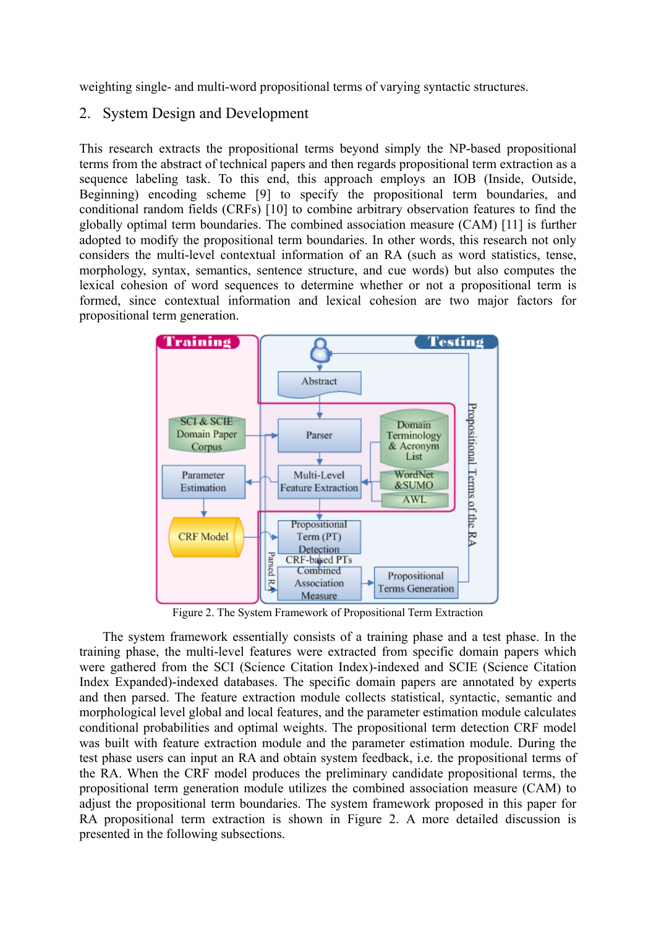weighting single- and multi-word propositional terms of varying syntactic structures.

# 2. System Design and Development

This research extracts the propositional terms beyond simply the NP-based propositional terms from the abstract of technical papers and then regards propositional term extraction as a sequence labeling task. To this end, this approach employs an IOB (Inside, Outside, Beginning) encoding scheme [9] to specify the propositional term boundaries, and conditional random fields (CRFs) [10] to combine arbitrary observation features to find the globally optimal term boundaries. The combined association measure (CAM) [11] is further adopted to modify the propositional term boundaries. In other words, this research not only considers the multi-level contextual information of an RA (such as word statistics, tense, morphology, syntax, semantics, sentence structure, and cue words) but also computes the lexical cohesion of word sequences to determine whether or not a propositional term is formed, since contextual information and lexical cohesion are two major factors for propositional term generation.



Figure 2. The System Framework of Propositional Term Extraction

The system framework essentially consists of a training phase and a test phase. In the training phase, the multi-level features were extracted from specific domain papers which were gathered from the SCI (Science Citation Index)-indexed and SCIE (Science Citation Index Expanded)-indexed databases. The specific domain papers are annotated by experts and then parsed. The feature extraction module collects statistical, syntactic, semantic and morphological level global and local features, and the parameter estimation module calculates conditional probabilities and optimal weights. The propositional term detection CRF model was built with feature extraction module and the parameter estimation module. During the test phase users can input an RA and obtain system feedback, i.e. the propositional terms of the RA. When the CRF model produces the preliminary candidate propositional terms, the propositional term generation module utilizes the combined association measure (CAM) to adjust the propositional term boundaries. The system framework proposed in this paper for RA propositional term extraction is shown in Figure 2. A more detailed discussion is presented in the following subsections.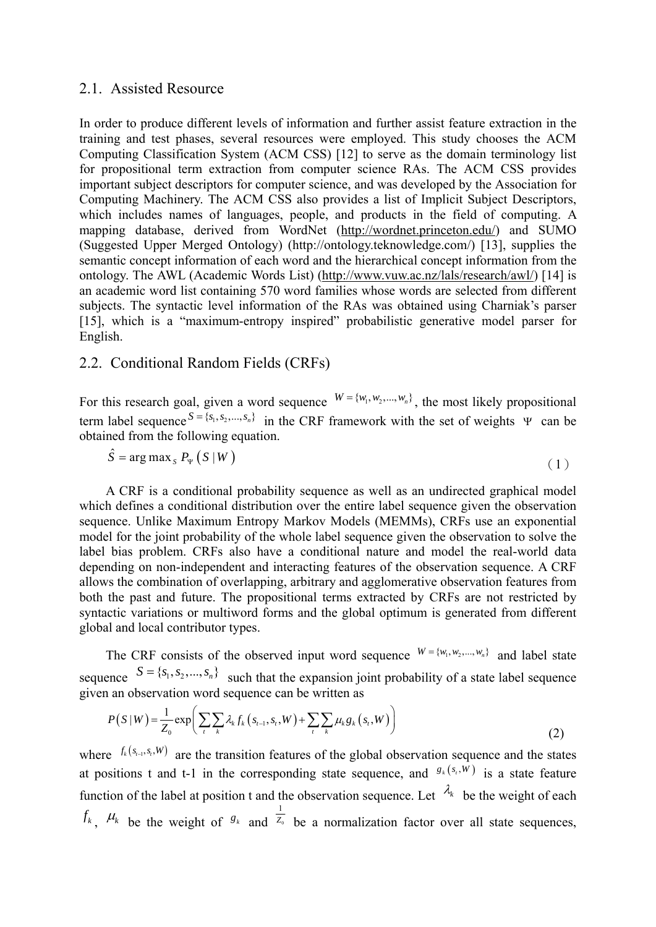## 2.1. Assisted Resource

In order to produce different levels of information and further assist feature extraction in the training and test phases, several resources were employed. This study chooses the ACM Computing Classification System (ACM CSS) [12] to serve as the domain terminology list for propositional term extraction from computer science RAs. The ACM CSS provides important subject descriptors for computer science, and was developed by the Association for Computing Machinery. The ACM CSS also provides a list of Implicit Subject Descriptors, which includes names of languages, people, and products in the field of computing. A mapping database, derived from WordNet (http://wordnet.princeton.edu/) and SUMO (Suggested Upper Merged Ontology) (http://ontology.teknowledge.com/) [13], supplies the semantic concept information of each word and the hierarchical concept information from the ontology. The AWL (Academic Words List) (http://www.vuw.ac.nz/lals/research/awl/) [14] is an academic word list containing 570 word families whose words are selected from different subjects. The syntactic level information of the RAs was obtained using Charniak's parser [15], which is a "maximum-entropy inspired" probabilistic generative model parser for English.

# 2.2. Conditional Random Fields (CRFs)

For this research goal, given a word sequence  $W = \{w_1, w_2, ..., w_n\}$ , the most likely propositional term label sequence  $S = \{s_1, s_2, ..., s_n\}$  in the CRF framework with the set of weights Ψ can be obtained from the following equation.

$$
\hat{S} = \arg \max_{S} P_{\Psi} \left( S \left| W \right. \right) \tag{1}
$$

A CRF is a conditional probability sequence as well as an undirected graphical model which defines a conditional distribution over the entire label sequence given the observation sequence. Unlike Maximum Entropy Markov Models (MEMMs), CRFs use an exponential model for the joint probability of the whole label sequence given the observation to solve the label bias problem. CRFs also have a conditional nature and model the real-world data depending on non-independent and interacting features of the observation sequence. A CRF allows the combination of overlapping, arbitrary and agglomerative observation features from both the past and future. The propositional terms extracted by CRFs are not restricted by syntactic variations or multiword forms and the global optimum is generated from different global and local contributor types.

The CRF consists of the observed input word sequence  $W = \{w_1, w_2, ..., w_n\}$  and label state sequence  $S = \{s_1, s_2, ..., s_n\}$  such that the expansion joint probability of a state label sequence given an observation word sequence can be written as

$$
P(S|W) = \frac{1}{Z_0} \exp\left(\sum_{t} \sum_{k} \lambda_k f_k\left(s_{t-1}, s_t, W\right) + \sum_{t} \sum_{k} \mu_k g_k\left(s_t, W\right)\right)
$$
(2)

where  $f_k(s_{i-1}, s_i, W)$  are the transition features of the global observation sequence and the states at positions t and t-1 in the corresponding state sequence, and  $g_k(s, w)$  is a state feature function of the label at position t and the observation sequence. Let  $\lambda_k$  be the weight of each  $f_k$ ,  $\mu_k$  be the weight of  $g_k$  and  $\frac{1}{Z_0}$ *Z* be a normalization factor over all state sequences,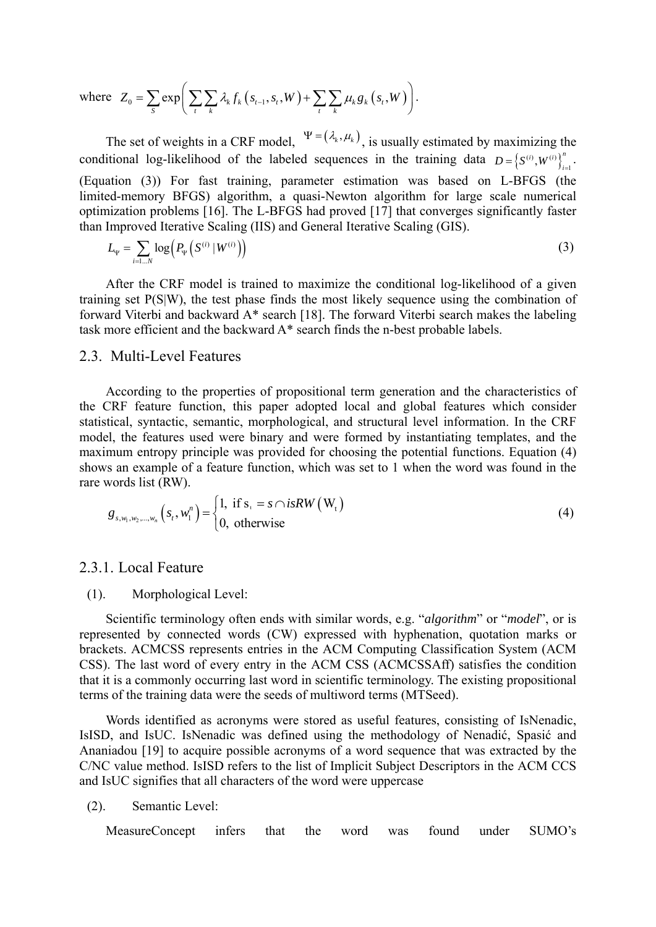where 
$$
Z_0 = \sum_{S} exp \left( \sum_{t} \sum_{k} \lambda_k f_k (s_{t-1}, s_t, W) + \sum_{t} \sum_{k} \mu_k g_k (s_t, W) \right)
$$
.

The set of weights in a CRF model,  $\Psi = (\lambda_k, \mu_k)$ , is usually estimated by maximizing the conditional log-likelihood of the labeled sequences in the training data  $D = \{S^{(i)}, W^{(i)}\}_{i=1}^n$ . (Equation (3)) For fast training, parameter estimation was based on L-BFGS (the limited-memory BFGS) algorithm, a quasi-Newton algorithm for large scale numerical optimization problems [16]. The L-BFGS had proved [17] that converges significantly faster than Improved Iterative Scaling (IIS) and General Iterative Scaling (GIS).

$$
L_{\Psi} = \sum_{i=1...N} \log \left( P_{\Psi} \left( S^{(i)} \, | \, W^{(i)} \right) \right) \tag{3}
$$

After the CRF model is trained to maximize the conditional log-likelihood of a given training set P(S|W), the test phase finds the most likely sequence using the combination of forward Viterbi and backward A\* search [18]. The forward Viterbi search makes the labeling task more efficient and the backward A\* search finds the n-best probable labels.

# 2.3. Multi-Level Features

According to the properties of propositional term generation and the characteristics of the CRF feature function, this paper adopted local and global features which consider statistical, syntactic, semantic, morphological, and structural level information. In the CRF model, the features used were binary and were formed by instantiating templates, and the maximum entropy principle was provided for choosing the potential functions. Equation (4) shows an example of a feature function, which was set to 1 when the word was found in the rare words list (RW).

$$
g_{s,w_1,w_2,\dots,w_n}\left(s_t, w_1^n\right) = \begin{cases} 1, & \text{if } s_t = s \cap isRW\left(W_t\right) \\ 0, & \text{otherwise} \end{cases}
$$
 (4)

#### 2.3.1. Local Feature

#### (1). Morphological Level:

Scientific terminology often ends with similar words, e.g. "*algorithm*" or "*model*", or is represented by connected words (CW) expressed with hyphenation, quotation marks or brackets. ACMCSS represents entries in the ACM Computing Classification System (ACM CSS). The last word of every entry in the ACM CSS (ACMCSSAff) satisfies the condition that it is a commonly occurring last word in scientific terminology. The existing propositional terms of the training data were the seeds of multiword terms (MTSeed).

Words identified as acronyms were stored as useful features, consisting of IsNenadic, IsISD, and IsUC. IsNenadic was defined using the methodology of Nenadić, Spasić and Ananiadou [19] to acquire possible acronyms of a word sequence that was extracted by the C/NC value method. IsISD refers to the list of Implicit Subject Descriptors in the ACM CCS and IsUC signifies that all characters of the word were uppercase

(2). Semantic Level:

MeasureConcept infers that the word was found under SUMO's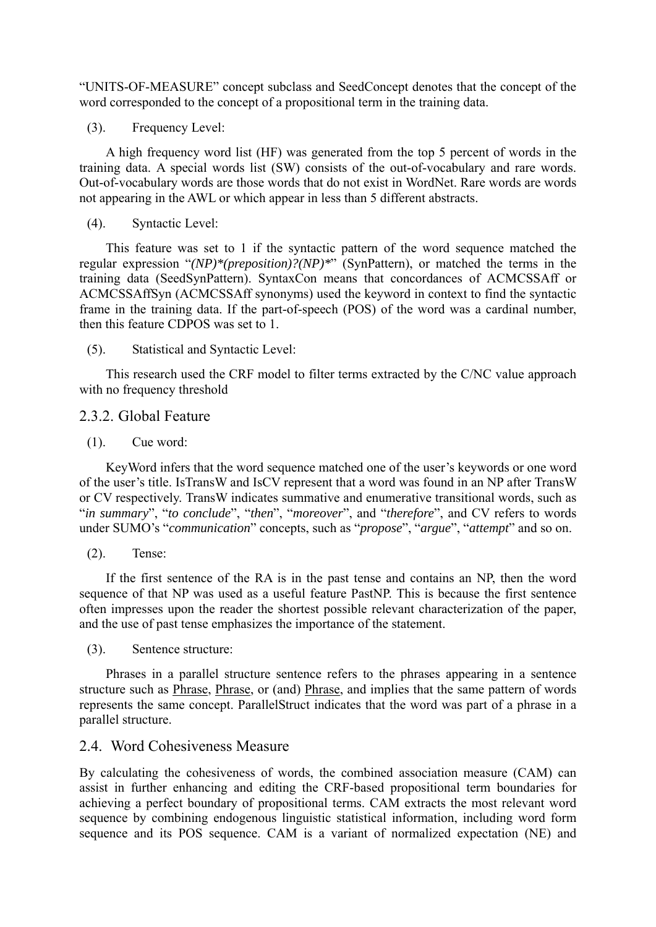"UNITS-OF-MEASURE" concept subclass and SeedConcept denotes that the concept of the word corresponded to the concept of a propositional term in the training data.

(3). Frequency Level:

A high frequency word list (HF) was generated from the top 5 percent of words in the training data. A special words list (SW) consists of the out-of-vocabulary and rare words. Out-of-vocabulary words are those words that do not exist in WordNet. Rare words are words not appearing in the AWL or which appear in less than 5 different abstracts.

(4). Syntactic Level:

This feature was set to 1 if the syntactic pattern of the word sequence matched the regular expression "*(NP)\*(preposition)?(NP)\**" (SynPattern), or matched the terms in the training data (SeedSynPattern). SyntaxCon means that concordances of ACMCSSAff or ACMCSSAffSyn (ACMCSSAff synonyms) used the keyword in context to find the syntactic frame in the training data. If the part-of-speech (POS) of the word was a cardinal number, then this feature CDPOS was set to 1.

(5). Statistical and Syntactic Level:

This research used the CRF model to filter terms extracted by the C/NC value approach with no frequency threshold

#### 2.3.2. Global Feature

(1). Cue word:

KeyWord infers that the word sequence matched one of the user's keywords or one word of the user's title. IsTransW and IsCV represent that a word was found in an NP after TransW or CV respectively. TransW indicates summative and enumerative transitional words, such as "*in summary*", "*to conclude*", "*then*", "*moreover*", and "*therefore*", and CV refers to words under SUMO's "*communication*" concepts, such as "*propose*", "*argue*", "*attempt*" and so on.

(2). Tense:

If the first sentence of the RA is in the past tense and contains an NP, then the word sequence of that NP was used as a useful feature PastNP. This is because the first sentence often impresses upon the reader the shortest possible relevant characterization of the paper, and the use of past tense emphasizes the importance of the statement.

(3). Sentence structure:

Phrases in a parallel structure sentence refers to the phrases appearing in a sentence structure such as Phrase, Phrase, or (and) Phrase, and implies that the same pattern of words represents the same concept. ParallelStruct indicates that the word was part of a phrase in a parallel structure.

## 2.4. Word Cohesiveness Measure

By calculating the cohesiveness of words, the combined association measure (CAM) can assist in further enhancing and editing the CRF-based propositional term boundaries for achieving a perfect boundary of propositional terms. CAM extracts the most relevant word sequence by combining endogenous linguistic statistical information, including word form sequence and its POS sequence. CAM is a variant of normalized expectation (NE) and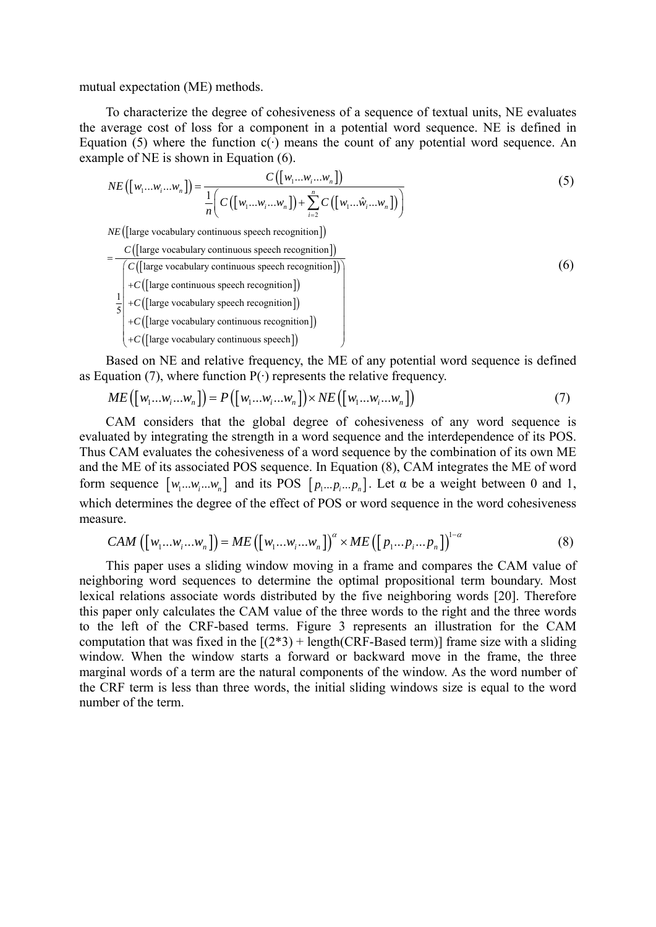mutual expectation (ME) methods.

To characterize the degree of cohesiveness of a sequence of textual units, NE evaluates the average cost of loss for a component in a potential word sequence. NE is defined in Equation (5) where the function  $c(\cdot)$  means the count of any potential word sequence. An example of NE is shown in Equation (6).

$$
NE([w_1...w_i...w_n]) = \frac{C([w_1...w_i...w_n])}{\frac{1}{n}\left(C([w_1...w_i...w_n]) + \sum_{i=2}^{n} C([w_1...\hat{w}_i...\hat{w}_n])\right)}
$$
(5)

*NE* (large vocabulary continuous speech recognition)

$$
= \frac{C([large vocabulary continuous speech recognition])}{\begin{pmatrix} C([large vocabulary continuous speech recognition]) \\ +C([large continuous speech recognition]) \\ +C([large vocabulary special polynomial]) \\ +C([large vocabulary operation]) \\ +C([large vocabulary continuous recognition]) \\ +C([large vocabulary continuous recognition]) \\ +C([large vocabulary continuous speech function]) \end{pmatrix}}
$$
 (6)

Based on NE and relative frequency, the ME of any potential word sequence is defined as Equation (7), where function  $P(\cdot)$  represents the relative frequency.

$$
ME([w_1...w_i...w_n]) = P([w_1...w_i...w_n]) \times NE([w_1...w_i...w_n])
$$
\n
$$
(7)
$$

CAM considers that the global degree of cohesiveness of any word sequence is evaluated by integrating the strength in a word sequence and the interdependence of its POS. Thus CAM evaluates the cohesiveness of a word sequence by the combination of its own ME and the ME of its associated POS sequence. In Equation (8), CAM integrates the ME of word form sequence  $[w_1...w_i...w_n]$  and its POS  $[p_1...p_i...p_n]$ . Let  $\alpha$  be a weight between 0 and 1, which determines the degree of the effect of POS or word sequence in the word cohesiveness measure.

$$
CAM\left([w_1...w_i...w_n]\right) = ME\left([w_1...w_i...w_n]\right)^{\alpha} \times ME\left([p_1...p_i...p_n]\right)^{1-\alpha}
$$
\n(8)

This paper uses a sliding window moving in a frame and compares the CAM value of neighboring word sequences to determine the optimal propositional term boundary. Most lexical relations associate words distributed by the five neighboring words [20]. Therefore this paper only calculates the CAM value of the three words to the right and the three words to the left of the CRF-based terms. Figure 3 represents an illustration for the CAM computation that was fixed in the  $[(2*3) + \text{length}(CRF\text{-}Based term)]$  frame size with a sliding window. When the window starts a forward or backward move in the frame, the three marginal words of a term are the natural components of the window. As the word number of the CRF term is less than three words, the initial sliding windows size is equal to the word number of the term.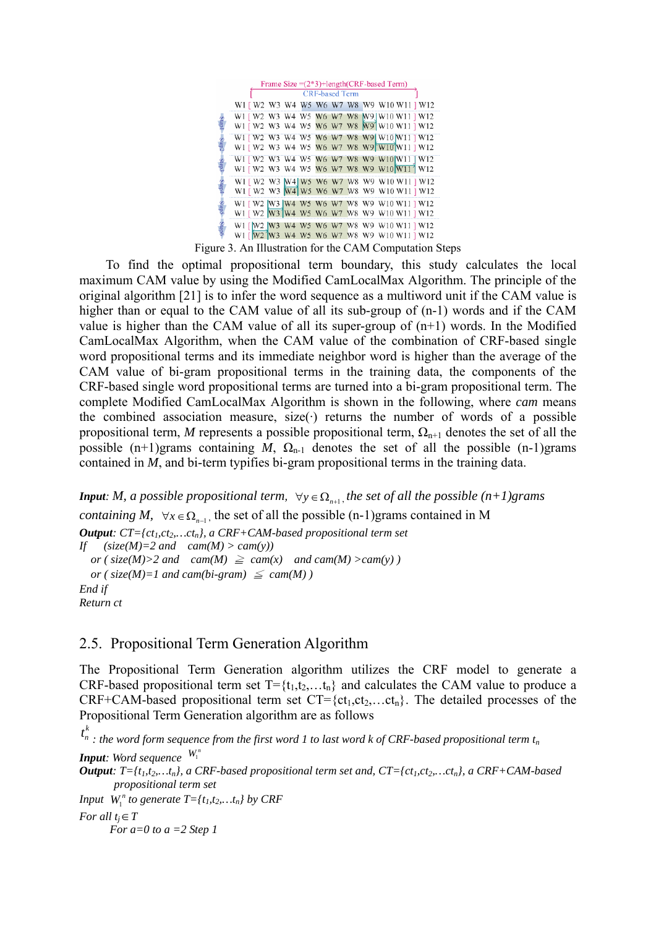|                         | Frame Size $=(2*3)+length(CRF-based Term)$                                                              |
|-------------------------|---------------------------------------------------------------------------------------------------------|
|                         | <b>CRF-based Term</b><br>W1 [ W2 W3 W4 W5 W6 W7 W8 W9 W10 W11 ] W12                                     |
|                         | W1 [ W2 W3 W4 W5 W6 W7 W8 M9 ] W10 W11 ] W12<br>W1 [ W2 W3 W4 W5 W6 W7 W8 W9 W10 W11 ] W12              |
| <b>Step<sub>Z</sub></b> | W1 [ W2 W3 W4 W5 W6 W7 W8 W9 W10 W11 ] W12<br>W1 [ W2 W3 W4 W5 W6 W7 W8 W9 W10 W11 ] W12                |
| Step3                   | W1   W2 W3 W4 W5 W6 W7 W8 W9 W10 W11   W12<br>W1 [ W2 W3 W4 W5 W6 W7 W8 W9 W10 W11   W12                |
|                         | W1 [ W2 W3 [W4] W5 W6 W7 W8 W9 W10 W11 ] W12<br>W1 [ W2 W3 W4 W5 W6 W7 W8 W9 W10 W11 ] W12              |
| cday                    | W1 [ W2  W3  W4 W5 W6 W7 W8 W9 W10 W11 ] W12                                                            |
|                         | W1 [ W2 W3 W4 W5 W6 W7 W8 W9 W10 W11 ] W12<br>W1 [W2 W3 W4 W5 W6 W7 W8 W9 W10 W11 ] W12                 |
|                         | W1 [ W2 ] W3 W4 W5 W6 W7 W8 W9 W10 W11 ] W12<br>Figure 3. An Illustration for the CAM Computation Steps |

To find the optimal propositional term boundary, this study calculates the local maximum CAM value by using the Modified CamLocalMax Algorithm. The principle of the original algorithm [21] is to infer the word sequence as a multiword unit if the CAM value is higher than or equal to the CAM value of all its sub-group of  $(n-1)$  words and if the CAM value is higher than the CAM value of all its super-group of  $(n+1)$  words. In the Modified CamLocalMax Algorithm, when the CAM value of the combination of CRF-based single word propositional terms and its immediate neighbor word is higher than the average of the CAM value of bi-gram propositional terms in the training data, the components of the CRF-based single word propositional terms are turned into a bi-gram propositional term. The complete Modified CamLocalMax Algorithm is shown in the following, where *cam* means the combined association measure, size( $\cdot$ ) returns the number of words of a possible propositional term, *M* represents a possible propositional term,  $\Omega_{n+1}$  denotes the set of all the possible (n+1)grams containing *M*,  $\Omega_{n-1}$  denotes the set of all the possible (n-1)grams contained in *M*, and bi-term typifies bi-gram propositional terms in the training data.

*Input*: *M, a possible propositional term,*  $\forall y \in \Omega_{n+1}$ *, the set of all the possible (n+1)grams containing M,*  $\forall x \in \Omega_{n-1}$ , the set of all the possible (n-1)grams contained in M *Output: CT*={ $ct_1, ct_2,...ct_n$ }, a CRF+CAM-based propositional term set *If*  $(size(M)=2 \text{ and } cam(M) > cam(y))$ *or* ( $size(M) > 2$  *and*  $cam(M) \geq cam(x)$  *and cam*(*M*)  $>cam(y)$ *or* ( $size(M)=1$  *and cam(bi-gram)*  $\leq$  *cam(M)) End if Return ct* 

# 2.5. Propositional Term Generation Algorithm

The Propositional Term Generation algorithm utilizes the CRF model to generate a CRF-based propositional term set  $T = \{t_1, t_2, \ldots, t_n\}$  and calculates the CAM value to produce a CRF+CAM-based propositional term set  $CT = \{ct_1, ct_2,...ct_n\}$ . The detailed processes of the Propositional Term Generation algorithm are as follows

 $t_n^k$  : the word form sequence from the first word 1 to last word k of CRF-based propositional term t<sub>n</sub> *Input: Word sequence*  $W_1^n$ 

*Output*:  $T = \{t_1, t_2, \ldots, t_n\}$ , a CRF-based propositional term set and,  $CT = \{ct_1, ct_2, \ldots, ct_n\}$ , a CRF+CAM-based *propositional term set* 

*Input*  $W_1^n$  *to generate*  $T = \{t_1, t_2, \ldots, t_n\}$  *by CRF* 

*For all*  $t_i \in T$ 

 *For a=0 to a =2 Step 1*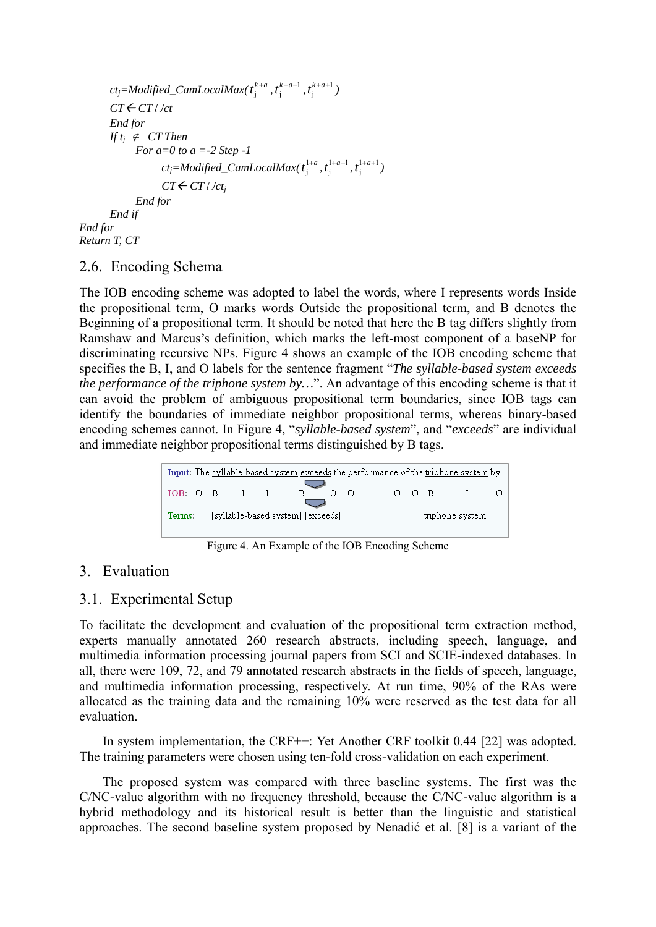```
ct_j = Modified\_CamLocalMax(t_j^{k+a}, t_j^{k+a-1}, t_j^{k+a+1})CT←CT ∪ct End for 
       If t<sup>j</sup> ∉ CT Then
              For a=0 to a =-2 Step -1 
ct_j = Modified\_CamLocalMax(t_j^{1+a}, t_j^{1+a-1}, t_j^{1+a+1}) CTÅ CT∪ctj
              End for 
        End if 
End for 
Return T, CT
```
# 2.6. Encoding Schema

The IOB encoding scheme was adopted to label the words, where I represents words Inside the propositional term, O marks words Outside the propositional term, and B denotes the Beginning of a propositional term. It should be noted that here the B tag differs slightly from Ramshaw and Marcus's definition, which marks the left-most component of a baseNP for discriminating recursive NPs. Figure 4 shows an example of the IOB encoding scheme that specifies the B, I, and O labels for the sentence fragment "*The syllable-based system exceeds the performance of the triphone system by…*". An advantage of this encoding scheme is that it can avoid the problem of ambiguous propositional term boundaries, since IOB tags can identify the boundaries of immediate neighbor propositional terms, whereas binary-based encoding schemes cannot. In Figure 4, "*syllable-based system*", and "*exceeds*" are individual and immediate neighbor propositional terms distinguished by B tags.

| Input: The syllable-based system exceeds the performance of the triphone system by |                                                        |  |  |  |  |  |  |       |  |  |  |
|------------------------------------------------------------------------------------|--------------------------------------------------------|--|--|--|--|--|--|-------|--|--|--|
| IOB: O B I I                                                                       |                                                        |  |  |  |  |  |  | n n B |  |  |  |
| Terms:                                                                             | [syllable-based system] [exceeds]<br>[triphone system] |  |  |  |  |  |  |       |  |  |  |

Figure 4. An Example of the IOB Encoding Scheme

# 3. Evaluation

# 3.1. Experimental Setup

To facilitate the development and evaluation of the propositional term extraction method, experts manually annotated 260 research abstracts, including speech, language, and multimedia information processing journal papers from SCI and SCIE-indexed databases. In all, there were 109, 72, and 79 annotated research abstracts in the fields of speech, language, and multimedia information processing, respectively. At run time, 90% of the RAs were allocated as the training data and the remaining 10% were reserved as the test data for all evaluation.

In system implementation, the CRF++: Yet Another CRF toolkit 0.44 [22] was adopted. The training parameters were chosen using ten-fold cross-validation on each experiment.

The proposed system was compared with three baseline systems. The first was the C/NC-value algorithm with no frequency threshold, because the C/NC-value algorithm is a hybrid methodology and its historical result is better than the linguistic and statistical approaches. The second baseline system proposed by Nenadić et al. [8] is a variant of the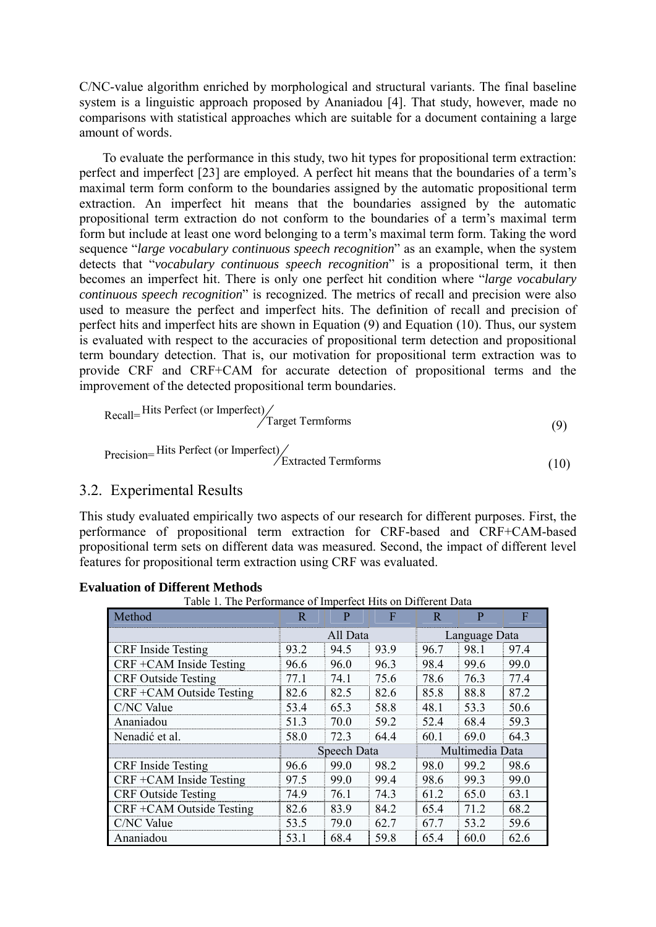C/NC-value algorithm enriched by morphological and structural variants. The final baseline system is a linguistic approach proposed by Ananiadou [4]. That study, however, made no comparisons with statistical approaches which are suitable for a document containing a large amount of words.

To evaluate the performance in this study, two hit types for propositional term extraction: perfect and imperfect [23] are employed. A perfect hit means that the boundaries of a term's maximal term form conform to the boundaries assigned by the automatic propositional term extraction. An imperfect hit means that the boundaries assigned by the automatic propositional term extraction do not conform to the boundaries of a term's maximal term form but include at least one word belonging to a term's maximal term form. Taking the word sequence "*large vocabulary continuous speech recognition*" as an example, when the system detects that "*vocabulary continuous speech recognition*" is a propositional term, it then becomes an imperfect hit. There is only one perfect hit condition where "*large vocabulary continuous speech recognition*" is recognized. The metrics of recall and precision were also used to measure the perfect and imperfect hits. The definition of recall and precision of perfect hits and imperfect hits are shown in Equation (9) and Equation (10). Thus, our system is evaluated with respect to the accuracies of propositional term detection and propositional term boundary detection. That is, our motivation for propositional term extraction was to provide CRF and CRF+CAM for accurate detection of propositional terms and the improvement of the detected propositional term boundaries.

$$
Recall = \frac{\text{Hits Perfect (or Imperfect)}}{\text{Target Termforms}}
$$
\n(9)

$$
Precision = \frac{\text{Hits Perfect (or Imperfect)}}{\text{Extracted Termforms}}
$$
\n(10)

# 3.2. Experimental Results

This study evaluated empirically two aspects of our research for different purposes. First, the performance of propositional term extraction for CRF-based and CRF+CAM-based propositional term sets on different data was measured. Second, the impact of different level features for propositional term extraction using CRF was evaluated.

| Table 1. The Performance of Imperfect Hits on Different Data |          |             |      |               |                 |      |  |  |  |
|--------------------------------------------------------------|----------|-------------|------|---------------|-----------------|------|--|--|--|
| Method                                                       | R        | P           | F    | R             | P               | F    |  |  |  |
|                                                              | All Data |             |      | Language Data |                 |      |  |  |  |
| <b>CRF</b> Inside Testing                                    | 93.2     | 94.5        | 93.9 | 96.7          | 98.1            | 97.4 |  |  |  |
| CRF +CAM Inside Testing                                      | 96.6     | 96.0        | 96.3 | 98.4          | 99.6            | 99.0 |  |  |  |
| <b>CRF</b> Outside Testing                                   | 77.1     | 74.1        | 75.6 | 78.6          | 76.3            | 77.4 |  |  |  |
| CRF +CAM Outside Testing                                     | 82.6     | 82.5        | 82.6 | 85.8          | 88.8            | 87.2 |  |  |  |
| C/NC Value                                                   | 53.4     | 65.3        | 58.8 | 48.1          | 53.3            | 50.6 |  |  |  |
| Ananiadou                                                    | 51.3     | 70.0        | 59.2 | 52.4          | 68.4            | 59.3 |  |  |  |
| Nenadić et al.                                               | 58.0     | 72.3        | 64.4 | 60.1          | 69.0            | 64.3 |  |  |  |
|                                                              |          | Speech Data |      |               | Multimedia Data |      |  |  |  |
| <b>CRF</b> Inside Testing                                    | 96.6     | 99.0        | 98.2 | 98.0          | 99.2            | 98.6 |  |  |  |
| $CRF + CAM$ Inside Testing                                   | 97.5     | 99.0        | 99.4 | 98.6          | 99.3            | 99.0 |  |  |  |
| <b>CRF</b> Outside Testing                                   | 74.9     | 76.1        | 74.3 | 61.2          | 65.0            | 63.1 |  |  |  |
| CRF +CAM Outside Testing                                     | 82.6     | 83.9        | 84.2 | 65.4          | 71.2            | 68.2 |  |  |  |
| C/NC Value                                                   | 53.5     | 79.0        | 62.7 | 67.7          | 53.2            | 59.6 |  |  |  |
| Ananiadou                                                    | 53.1     | 68.4        | 59.8 | 65.4          | 60.0            | 62.6 |  |  |  |

|  | <b>Evaluation of Different Methods</b> |  |
|--|----------------------------------------|--|
|--|----------------------------------------|--|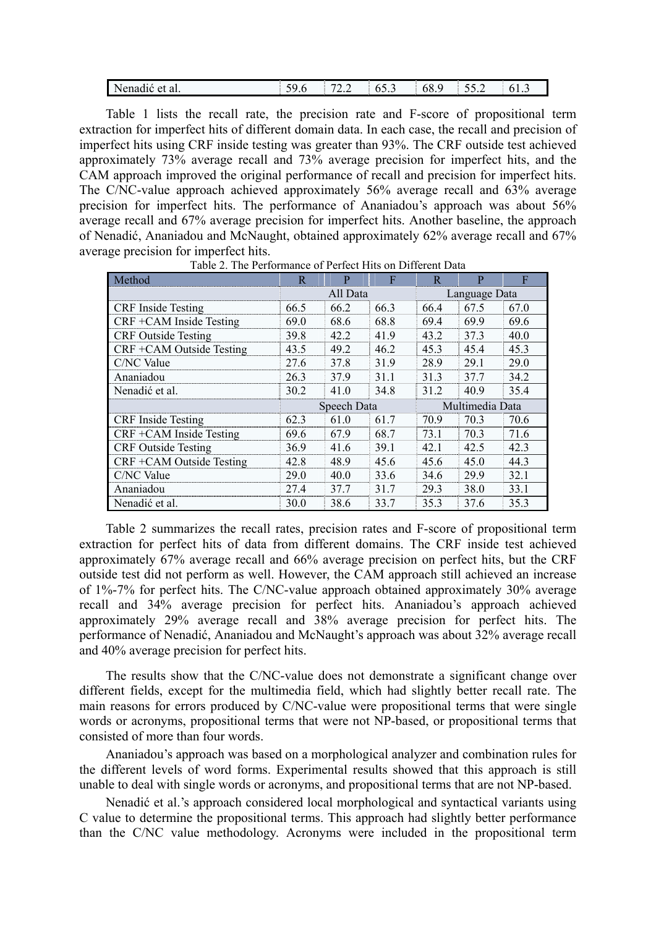| Nenadić et al. | $-\alpha$<br>$\sim$ | 70<br>. | 03.3 | 68.<br>∼ | ے . _ | 01.5 |
|----------------|---------------------|---------|------|----------|-------|------|
|----------------|---------------------|---------|------|----------|-------|------|

Table 1 lists the recall rate, the precision rate and F-score of propositional term extraction for imperfect hits of different domain data. In each case, the recall and precision of imperfect hits using CRF inside testing was greater than 93%. The CRF outside test achieved approximately 73% average recall and 73% average precision for imperfect hits, and the CAM approach improved the original performance of recall and precision for imperfect hits. The C/NC-value approach achieved approximately 56% average recall and 63% average precision for imperfect hits. The performance of Ananiadou's approach was about 56% average recall and 67% average precision for imperfect hits. Another baseline, the approach of Nenadić, Ananiadou and McNaught, obtained approximately 62% average recall and 67% average precision for imperfect hits.

| Method                     | $\overline{R}$<br>F<br>P |             |      | R             | p               | F    |  |
|----------------------------|--------------------------|-------------|------|---------------|-----------------|------|--|
|                            |                          | All Data    |      | Language Data |                 |      |  |
| <b>CRF</b> Inside Testing  | 66.5                     | 66.2        | 66.3 | 66.4          | 67.5            | 67.0 |  |
| CRF +CAM Inside Testing    | 69.0                     | 68.6        | 68.8 | 69.4          | 69.9            | 69.6 |  |
| <b>CRF</b> Outside Testing | 39.8                     | 42.2        | 41.9 | 43.2          | 37.3            | 40.0 |  |
| CRF +CAM Outside Testing   | 43.5                     | 49.2        | 46.2 | 45.3          | 45.4            | 45.3 |  |
| C/NC Value                 | 27.6                     | 37.8        | 31.9 | 28.9          | 29.1            | 29.0 |  |
| Ananiadou                  | 26.3                     | 37.9        | 31.1 | 31.3          | 37.7            | 34.2 |  |
| Nenadić et al.             | 30.2                     | 41.0        | 34.8 | 31.2          | 40.9            | 35.4 |  |
|                            |                          | Speech Data |      |               | Multimedia Data |      |  |
| <b>CRF</b> Inside Testing  | 62.3                     | 61 0        | 61.7 | 70.9          | 70.3            | 70.6 |  |
| CRF +CAM Inside Testing    | 69.6                     | 67.9        | 68.7 | 73.1          | 70.3            | 71.6 |  |
| <b>CRF</b> Outside Testing | 36.9                     | 41.6        | 39.1 | 42.1          | 42.5            | 42.3 |  |
| CRF +CAM Outside Testing   | 42.8                     | 48.9        | 45.6 | 45.6          | 45.0            | 44.3 |  |
| C/NC Value                 | 29.0                     | 40.0        | 33.6 | 34.6          | 29.9            | 32.1 |  |
| Ananiadou                  | 27.4                     | 37.7        | 31.7 | 29.3          | 38.0            | 33.1 |  |
| Nenadić et al.             | 30.0                     | 38.6        | 33.7 | 35.3          | 37.6            | 35.3 |  |

Table 2. The Performance of Perfect Hits on Different Data

Table 2 summarizes the recall rates, precision rates and F-score of propositional term extraction for perfect hits of data from different domains. The CRF inside test achieved approximately 67% average recall and 66% average precision on perfect hits, but the CRF outside test did not perform as well. However, the CAM approach still achieved an increase of 1%-7% for perfect hits. The C/NC-value approach obtained approximately 30% average recall and 34% average precision for perfect hits. Ananiadou's approach achieved approximately 29% average recall and 38% average precision for perfect hits. The performance of Nenadić, Ananiadou and McNaught's approach was about 32% average recall and 40% average precision for perfect hits.

The results show that the C/NC-value does not demonstrate a significant change over different fields, except for the multimedia field, which had slightly better recall rate. The main reasons for errors produced by C/NC-value were propositional terms that were single words or acronyms, propositional terms that were not NP-based, or propositional terms that consisted of more than four words.

Ananiadou's approach was based on a morphological analyzer and combination rules for the different levels of word forms. Experimental results showed that this approach is still unable to deal with single words or acronyms, and propositional terms that are not NP-based.

Nenadić et al.'s approach considered local morphological and syntactical variants using C value to determine the propositional terms. This approach had slightly better performance than the C/NC value methodology. Acronyms were included in the propositional term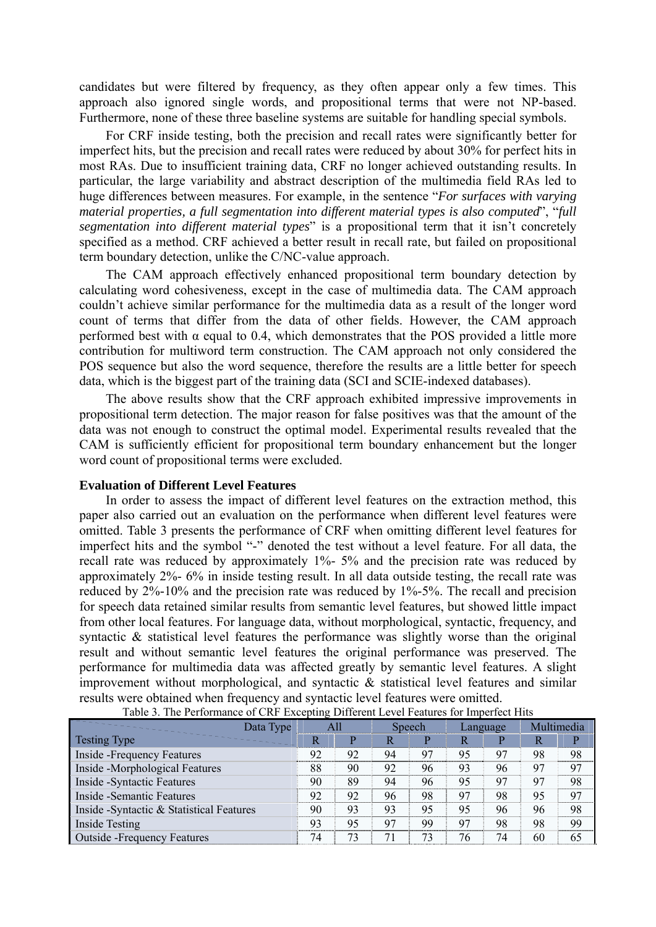candidates but were filtered by frequency, as they often appear only a few times. This approach also ignored single words, and propositional terms that were not NP-based. Furthermore, none of these three baseline systems are suitable for handling special symbols.

For CRF inside testing, both the precision and recall rates were significantly better for imperfect hits, but the precision and recall rates were reduced by about 30% for perfect hits in most RAs. Due to insufficient training data, CRF no longer achieved outstanding results. In particular, the large variability and abstract description of the multimedia field RAs led to huge differences between measures. For example, in the sentence "*For surfaces with varying material properties, a full segmentation into different material types is also computed*", "*full segmentation into different material types*" is a propositional term that it isn't concretely specified as a method. CRF achieved a better result in recall rate, but failed on propositional term boundary detection, unlike the C/NC-value approach.

The CAM approach effectively enhanced propositional term boundary detection by calculating word cohesiveness, except in the case of multimedia data. The CAM approach couldn't achieve similar performance for the multimedia data as a result of the longer word count of terms that differ from the data of other fields. However, the CAM approach performed best with  $\alpha$  equal to 0.4, which demonstrates that the POS provided a little more contribution for multiword term construction. The CAM approach not only considered the POS sequence but also the word sequence, therefore the results are a little better for speech data, which is the biggest part of the training data (SCI and SCIE-indexed databases).

The above results show that the CRF approach exhibited impressive improvements in propositional term detection. The major reason for false positives was that the amount of the data was not enough to construct the optimal model. Experimental results revealed that the CAM is sufficiently efficient for propositional term boundary enhancement but the longer word count of propositional terms were excluded.

#### **Evaluation of Different Level Features**

In order to assess the impact of different level features on the extraction method, this paper also carried out an evaluation on the performance when different level features were omitted. Table 3 presents the performance of CRF when omitting different level features for imperfect hits and the symbol "-" denoted the test without a level feature. For all data, the recall rate was reduced by approximately 1%- 5% and the precision rate was reduced by approximately 2%- 6% in inside testing result. In all data outside testing, the recall rate was reduced by 2%-10% and the precision rate was reduced by 1%-5%. The recall and precision for speech data retained similar results from semantic level features, but showed little impact from other local features. For language data, without morphological, syntactic, frequency, and syntactic & statistical level features the performance was slightly worse than the original result and without semantic level features the original performance was preserved. The performance for multimedia data was affected greatly by semantic level features. A slight improvement without morphological, and syntactic & statistical level features and similar results were obtained when frequency and syntactic level features were omitted.

| Data Type                                 | All |    | Speech |    | Language |    | Multimedia |    |
|-------------------------------------------|-----|----|--------|----|----------|----|------------|----|
| <b>Testing Type</b>                       | R   | P  | R      | D  | R        | P  |            |    |
| Inside - Frequency Features               | 92  | 92 | 94     | 97 | 95       | 97 | 98         | 98 |
| Inside -Morphological Features            | 88  | 90 | 92     | 96 | 93       | 96 | 97         | 97 |
| Inside - Syntactic Features               | 90  | 89 | 94     | 96 | 95       | 97 | 97         | 98 |
| Inside - Semantic Features                | 92  | 92 | 96     | 98 | 97       | 98 | 95         | 97 |
| Inside - Syntactic & Statistical Features |     | 93 | 93     | 95 | 95       | 96 | 96         | 98 |
| Inside Testing                            | 93  | 95 | 97     | 99 | 97       | 98 | 98         | 99 |
| <b>Outside -Frequency Features</b>        | 74  | 73 | 71     | 73 | 76       | 74 | 60         | 65 |

Table 3. The Performance of CRF Excepting Different Level Features for Imperfect Hits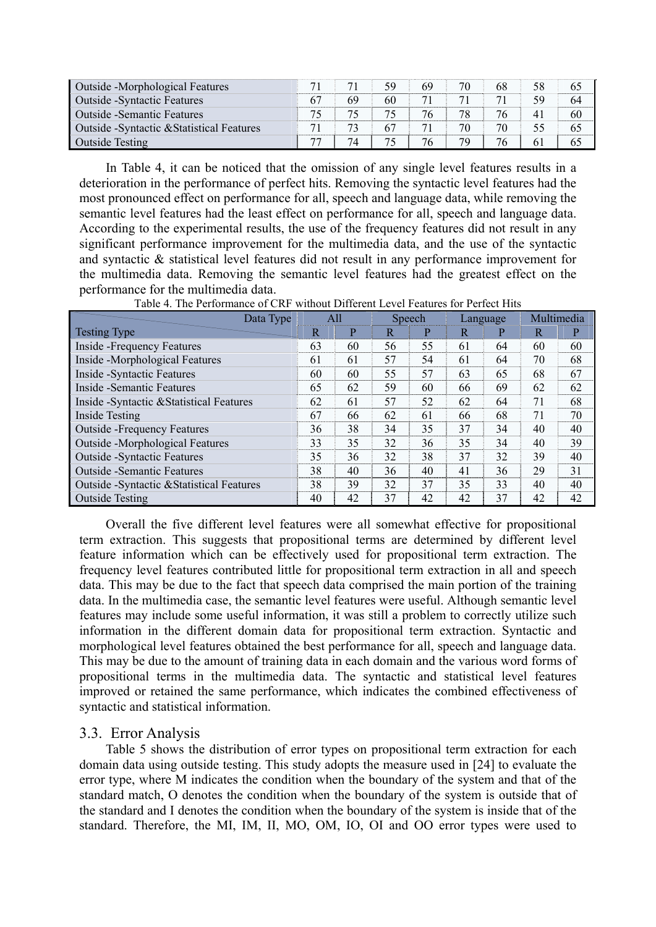| Outside -Morphological Features            |    |    | 59 | 69 | 70 | 68 | 58 | 65 |
|--------------------------------------------|----|----|----|----|----|----|----|----|
| <b>Outside - Syntactic Features</b>        | 67 | 69 | 60 |    |    |    | 59 | 64 |
| <b>Outside - Semantic Features</b>         | 74 |    |    | 76 | 78 | 76 | 41 | 60 |
| Outside - Syntactic & Statistical Features |    |    | 67 |    | 70 | 70 |    | 65 |
| <b>Outside Testing</b>                     | 77 | 74 |    | 76 | 79 | 76 | 61 | 65 |

In Table 4, it can be noticed that the omission of any single level features results in a deterioration in the performance of perfect hits. Removing the syntactic level features had the most pronounced effect on performance for all, speech and language data, while removing the semantic level features had the least effect on performance for all, speech and language data. According to the experimental results, the use of the frequency features did not result in any significant performance improvement for the multimedia data, and the use of the syntactic and syntactic & statistical level features did not result in any performance improvement for the multimedia data. Removing the semantic level features had the greatest effect on the performance for the multimedia data.

| Data Type                                  | All |    | Speech |    | Language |    | Multimedia |    |
|--------------------------------------------|-----|----|--------|----|----------|----|------------|----|
| <b>Testing Type</b>                        | R   | P  | R      | P  | R        | P  | R          | P  |
| <b>Inside -Frequency Features</b>          | 63  | 60 | 56     | 55 | 61       | 64 | 60         | 60 |
| Inside -Morphological Features             | 61  | 61 | 57     | 54 | 61       | 64 | 70         | 68 |
| <b>Inside - Syntactic Features</b>         | 60  | 60 | 55     | 57 | 63       | 65 | 68         | 67 |
| Inside - Semantic Features                 | 65  | 62 | 59     | 60 | 66       | 69 | 62         | 62 |
| Inside - Syntactic & Statistical Features  |     | 61 | 57     | 52 | 62       | 64 | 71         | 68 |
| <b>Inside Testing</b>                      | 67  | 66 | 62     | 61 | 66       | 68 | 71         | 70 |
| <b>Outside -Frequency Features</b>         | 36  | 38 | 34     | 35 | 37       | 34 | 40         | 40 |
| <b>Outside -Morphological Features</b>     | 33  | 35 | 32     | 36 | 35       | 34 | 40         | 39 |
| <b>Outside -Syntactic Features</b>         |     | 36 | 32     | 38 | 37       | 32 | 39         | 40 |
| <b>Outside - Semantic Features</b>         |     | 40 | 36     | 40 | 41       | 36 | 29         | 31 |
| Outside - Syntactic & Statistical Features |     | 39 | 32     | 37 | 35       | 33 | 40         | 40 |
| <b>Outside Testing</b>                     | 40  | 42 | 37     | 42 | 42       | 37 | 42         | 42 |

Table 4. The Performance of CRF without Different Level Features for Perfect Hits

Overall the five different level features were all somewhat effective for propositional term extraction. This suggests that propositional terms are determined by different level feature information which can be effectively used for propositional term extraction. The frequency level features contributed little for propositional term extraction in all and speech data. This may be due to the fact that speech data comprised the main portion of the training data. In the multimedia case, the semantic level features were useful. Although semantic level features may include some useful information, it was still a problem to correctly utilize such information in the different domain data for propositional term extraction. Syntactic and morphological level features obtained the best performance for all, speech and language data. This may be due to the amount of training data in each domain and the various word forms of propositional terms in the multimedia data. The syntactic and statistical level features improved or retained the same performance, which indicates the combined effectiveness of syntactic and statistical information.

# 3.3. Error Analysis

Table 5 shows the distribution of error types on propositional term extraction for each domain data using outside testing. This study adopts the measure used in [24] to evaluate the error type, where M indicates the condition when the boundary of the system and that of the standard match, O denotes the condition when the boundary of the system is outside that of the standard and I denotes the condition when the boundary of the system is inside that of the standard. Therefore, the MI, IM, II, MO, OM, IO, OI and OO error types were used to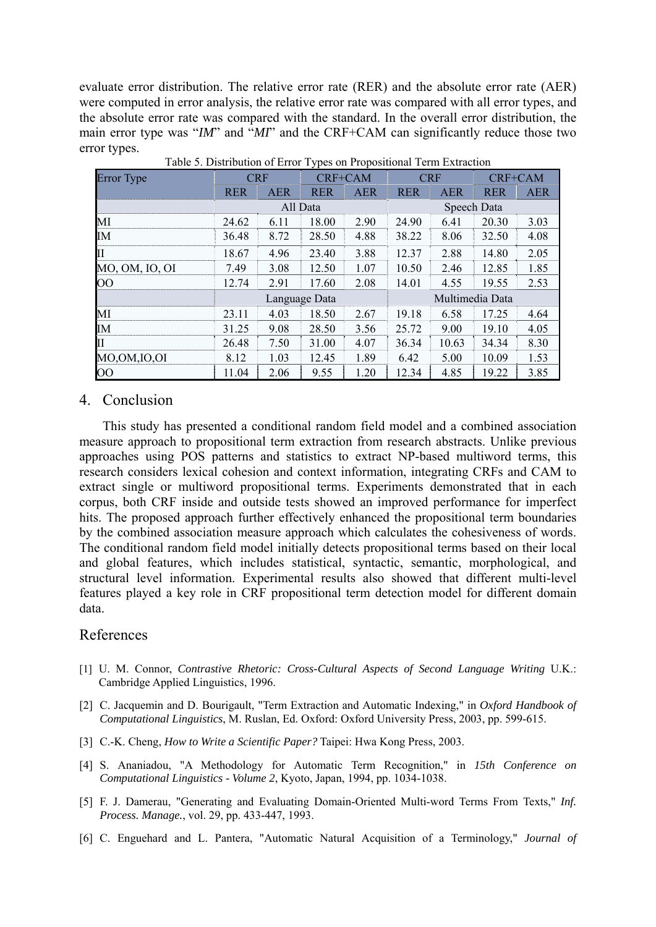evaluate error distribution. The relative error rate (RER) and the absolute error rate (AER) were computed in error analysis, the relative error rate was compared with all error types, and the absolute error rate was compared with the standard. In the overall error distribution, the main error type was "*IM*" and "*MI*" and the CRF+CAM can significantly reduce those two error types.

|                            |            |            | ັ             |            |                 |            |             |            |  |
|----------------------------|------------|------------|---------------|------------|-----------------|------------|-------------|------------|--|
| Error Type                 |            | <b>CRF</b> | CRF+CAM       |            |                 | <b>CRF</b> | CRF+CAM     |            |  |
|                            | <b>RER</b> | <b>AER</b> | <b>RER</b>    | <b>AER</b> | <b>RER</b>      | <b>AER</b> | <b>RER</b>  | <b>AER</b> |  |
|                            |            | All Data   |               |            |                 |            | Speech Data |            |  |
| MI                         | 24.62      | 6.11       | 18.00         | 2.90       | 24.90           | 6.41       | 20.30       | 3.03       |  |
| IM                         | 36.48      | 8.72       | 28.50         | 4.88       | 38.22           | 8.06       | 32.50       | 4.08       |  |
| $\mathop{\rm II}\nolimits$ | 18.67      | 4.96       | 23.40         | 3.88       | 12.37           | 2.88       | 14.80       | 2.05       |  |
| MO, OM, IO, OI             | 7.49       | 3.08       | 12.50         | 1.07       | 10.50           | 2.46       | 12.85       | 1.85       |  |
| $\overline{O}O$            | 12.74      | 2.91       | 17.60         | 2.08       | 14.01           | 4.55       | 19.55       | 2.53       |  |
|                            |            |            | Language Data |            | Multimedia Data |            |             |            |  |
| MI                         | 23.11      | 4.03       | 18.50         | 2.67       | 19.18           | 6.58       | 17.25       | 4.64       |  |
| <b>IM</b>                  | 31.25      | 9.08       | 28.50         | 3.56       | 25.72           | 9.00       | 19.10       | 4.05       |  |
| $\mathbf{I}$               | 26.48      | 7.50       | 31.00         | 4.07       | 36.34           | 10.63      | 34.34       | 8.30       |  |
| MO,OM,IO,OI                | 8.12       | 1.03       | 12.45         | 1.89       | 6.42            | 5.00       | 10.09       | 1.53       |  |
| $\overline{O}O$            | 11.04      | 2.06       | 9.55          | 1.20       | 12.34           | 4.85       | 19.22       | 3.85       |  |

Table 5. Distribution of Error Types on Propositional Term Extraction

#### 4. Conclusion

This study has presented a conditional random field model and a combined association measure approach to propositional term extraction from research abstracts. Unlike previous approaches using POS patterns and statistics to extract NP-based multiword terms, this research considers lexical cohesion and context information, integrating CRFs and CAM to extract single or multiword propositional terms. Experiments demonstrated that in each corpus, both CRF inside and outside tests showed an improved performance for imperfect hits. The proposed approach further effectively enhanced the propositional term boundaries by the combined association measure approach which calculates the cohesiveness of words. The conditional random field model initially detects propositional terms based on their local and global features, which includes statistical, syntactic, semantic, morphological, and structural level information. Experimental results also showed that different multi-level features played a key role in CRF propositional term detection model for different domain data.

## References

- [1] U. M. Connor, *Contrastive Rhetoric: Cross-Cultural Aspects of Second Language Writing* U.K.: Cambridge Applied Linguistics, 1996.
- [2] C. Jacquemin and D. Bourigault, "Term Extraction and Automatic Indexing," in *Oxford Handbook of Computational Linguistics*, M. Ruslan, Ed. Oxford: Oxford University Press, 2003, pp. 599-615.
- [3] C.-K. Cheng, *How to Write a Scientific Paper?* Taipei: Hwa Kong Press, 2003.
- [4] S. Ananiadou, "A Methodology for Automatic Term Recognition," in *15th Conference on Computational Linguistics - Volume 2*, Kyoto, Japan, 1994, pp. 1034-1038.
- [5] F. J. Damerau, "Generating and Evaluating Domain-Oriented Multi-word Terms From Texts," *Inf. Process. Manage.*, vol. 29, pp. 433-447, 1993.
- [6] C. Enguehard and L. Pantera, "Automatic Natural Acquisition of a Terminology," *Journal of*